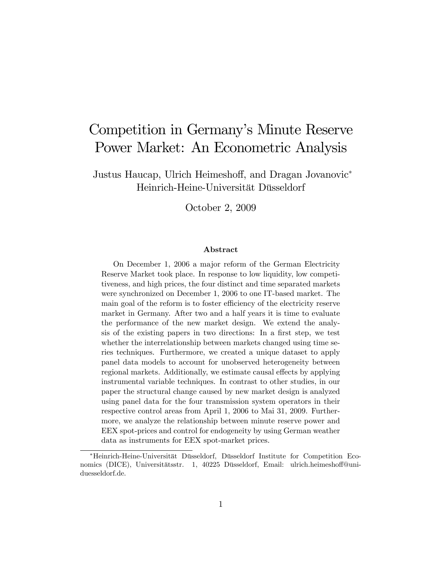# Competition in Germany's Minute Reserve Power Market: An Econometric Analysis

Justus Haucap, Ulrich Heimeshoff, and Dragan Jovanovic<sup>\*</sup> Heinrich-Heine-Universität Düsseldorf

October 2, 2009

#### Abstract

On December 1, 2006 a major reform of the German Electricity Reserve Market took place. In response to low liquidity, low competitiveness, and high prices, the four distinct and time separated markets were synchronized on December 1, 2006 to one IT-based market. The main goal of the reform is to foster efficiency of the electricity reserve market in Germany. After two and a half years it is time to evaluate the performance of the new market design. We extend the analysis of the existing papers in two directions: In a first step, we test whether the interrelationship between markets changed using time series techniques. Furthermore, we created a unique dataset to apply panel data models to account for unobserved heterogeneity between regional markets. Additionally, we estimate causal effects by applying instrumental variable techniques. In contrast to other studies, in our paper the structural change caused by new market design is analyzed using panel data for the four transmission system operators in their respective control areas from April 1, 2006 to Mai 31, 2009. Furthermore, we analyze the relationship between minute reserve power and EEX spot-prices and control for endogeneity by using German weather data as instruments for EEX spot-market prices.

<sup>\*</sup>Heinrich-Heine-Universität Düsseldorf, Düsseldorf Institute for Competition Economics (DICE), Universitätsstr. 1, 40225 Düsseldorf, Email: ulrich.heimeshoff@uniduesseldorf.de.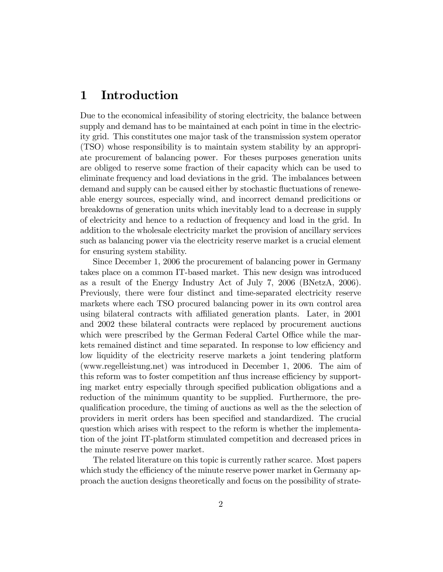## 1 Introduction

Due to the economical infeasibility of storing electricity, the balance between supply and demand has to be maintained at each point in time in the electricity grid. This constitutes one major task of the transmission system operator (TSO) whose responsibility is to maintain system stability by an appropriate procurement of balancing power. For theses purposes generation units are obliged to reserve some fraction of their capacity which can be used to eliminate frequency and load deviations in the grid. The imbalances between demand and supply can be caused either by stochastic fluctuations of reneweable energy sources, especially wind, and incorrect demand predicitions or breakdowns of generation units which inevitably lead to a decrease in supply of electricity and hence to a reduction of frequency and load in the grid. In addition to the wholesale electricity market the provision of ancillary services such as balancing power via the electricity reserve market is a crucial element for ensuring system stability.

Since December 1, 2006 the procurement of balancing power in Germany takes place on a common IT-based market. This new design was introduced as a result of the Energy Industry Act of July 7, 2006 (BNetzA, 2006). Previously, there were four distinct and time-separated electricity reserve markets where each TSO procured balancing power in its own control area using bilateral contracts with affiliated generation plants. Later, in 2001 and 2002 these bilateral contracts were replaced by procurement auctions which were prescribed by the German Federal Cartel Office while the markets remained distinct and time separated. In response to low efficiency and low liquidity of the electricity reserve markets a joint tendering platform (www.regelleistung.net) was introduced in December 1, 2006. The aim of this reform was to foster competition and thus increase efficiency by supporting market entry especially through specified publication obligations and a reduction of the minimum quantity to be supplied. Furthermore, the prequalification procedure, the timing of auctions as well as the the selection of providers in merit orders has been specified and standardized. The crucial question which arises with respect to the reform is whether the implementation of the joint IT-platform stimulated competition and decreased prices in the minute reserve power market.

The related literature on this topic is currently rather scarce. Most papers which study the efficiency of the minute reserve power market in Germany approach the auction designs theoretically and focus on the possibility of strate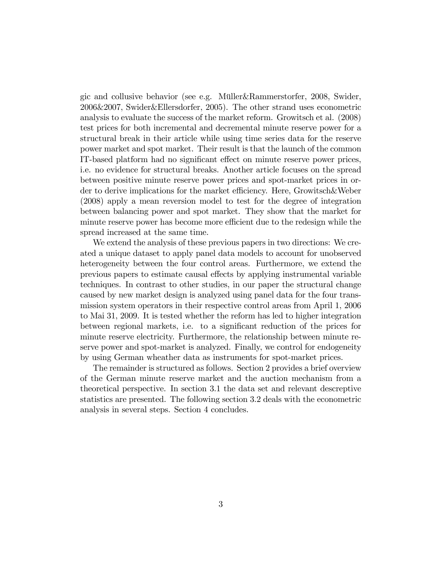gic and collusive behavior (see e.g. Müller&Rammerstorfer, 2008, Swider, 2006&2007, Swider&Ellersdorfer, 2005). The other strand uses econometric analysis to evaluate the success of the market reform. Growitsch et al. (2008) test prices for both incremental and decremental minute reserve power for a structural break in their article while using time series data for the reserve power market and spot market. Their result is that the launch of the common IT-based platform had no significant effect on minute reserve power prices, i.e. no evidence for structural breaks. Another article focuses on the spread between positive minute reserve power prices and spot-market prices in order to derive implications for the market efficiency. Here, Growitsch&Weber (2008) apply a mean reversion model to test for the degree of integration between balancing power and spot market. They show that the market for minute reserve power has become more efficient due to the redesign while the spread increased at the same time.

We extend the analysis of these previous papers in two directions: We created a unique dataset to apply panel data models to account for unobserved heterogeneity between the four control areas. Furthermore, we extend the previous papers to estimate causal effects by applying instrumental variable techniques. In contrast to other studies, in our paper the structural change caused by new market design is analyzed using panel data for the four transmission system operators in their respective control areas from April 1, 2006 to Mai 31, 2009. It is tested whether the reform has led to higher integration between regional markets, i.e. to a significant reduction of the prices for minute reserve electricity. Furthermore, the relationship between minute reserve power and spot-market is analyzed. Finally, we control for endogeneity by using German wheather data as instruments for spot-market prices.

The remainder is structured as follows. Section 2 provides a brief overview of the German minute reserve market and the auction mechanism from a theoretical perspective. In section 3.1 the data set and relevant descreptive statistics are presented. The following section 3.2 deals with the econometric analysis in several steps. Section 4 concludes.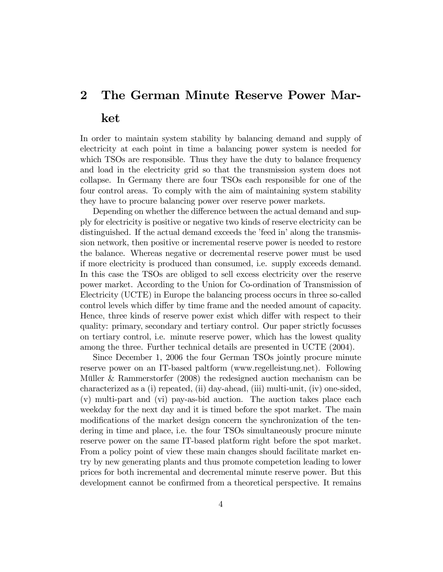# 2 The German Minute Reserve Power Market

In order to maintain system stability by balancing demand and supply of electricity at each point in time a balancing power system is needed for which TSOs are responsible. Thus they have the duty to balance frequency and load in the electricity grid so that the transmission system does not collapse. In Germany there are four TSOs each responsible for one of the four control areas. To comply with the aim of maintaining system stability they have to procure balancing power over reserve power markets.

Depending on whether the difference between the actual demand and supply for electricity is positive or negative two kinds of reserve electricity can be distinguished. If the actual demand exceeds the 'feed in' along the transmission network, then positive or incremental reserve power is needed to restore the balance. Whereas negative or decremental reserve power must be used if more electricity is produced than consumed, i.e. supply exceeds demand. In this case the TSOs are obliged to sell excess electricity over the reserve power market. According to the Union for Co-ordination of Transmission of Electricity (UCTE) in Europe the balancing process occurs in three so-called control levels which differ by time frame and the needed amount of capacity. Hence, three kinds of reserve power exist which differ with respect to their quality: primary, secondary and tertiary control. Our paper strictly focusses on tertiary control, i.e. minute reserve power, which has the lowest quality among the three. Further technical details are presented in UCTE (2004).

Since December 1, 2006 the four German TSOs jointly procure minute reserve power on an IT-based paltform (www.regelleistung.net). Following Müller & Rammerstorfer  $(2008)$  the redesigned auction mechanism can be characterized as a (i) repeated, (ii) day-ahead, (iii) multi-unit, (iv) one-sided, (v) multi-part and (vi) pay-as-bid auction. The auction takes place each weekday for the next day and it is timed before the spot market. The main modifications of the market design concern the synchronization of the tendering in time and place, i.e. the four TSOs simultaneously procure minute reserve power on the same IT-based platform right before the spot market. From a policy point of view these main changes should facilitate market entry by new generating plants and thus promote competetion leading to lower prices for both incremental and decremental minute reserve power. But this development cannot be confirmed from a theoretical perspective. It remains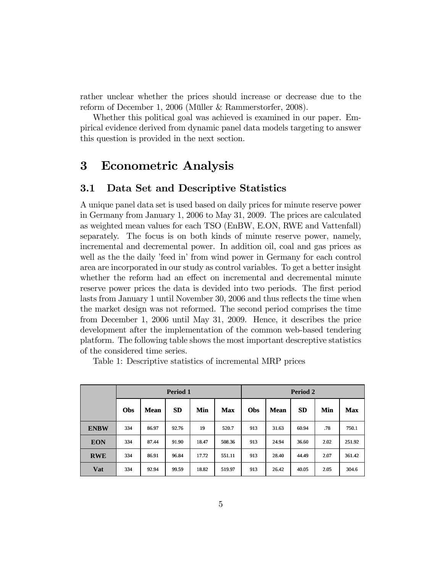rather unclear whether the prices should increase or decrease due to the reform of December 1, 2006 (Müller & Rammerstorfer, 2008).

Whether this political goal was achieved is examined in our paper. Empirical evidence derived from dynamic panel data models targeting to answer this question is provided in the next section.

## 3 Econometric Analysis

#### 3.1 Data Set and Descriptive Statistics

A unique panel data set is used based on daily prices for minute reserve power in Germany from January 1, 2006 to May 31, 2009. The prices are calculated as weighted mean values for each TSO (EnBW, E.ON, RWE and Vattenfall) separately. The focus is on both kinds of minute reserve power, namely, incremental and decremental power. In addition oil, coal and gas prices as well as the the daily 'feed in' from wind power in Germany for each control area are incorporated in our study as control variables. To get a better insight whether the reform had an effect on incremental and decremental minute reserve power prices the data is devided into two periods. The first period lasts from January 1 until November 30, 2006 and thus reflects the time when the market design was not reformed. The second period comprises the time from December 1, 2006 until May 31, 2009. Hence, it describes the price development after the implementation of the common web-based tendering platform. The following table shows the most important descreptive statistics of the considered time series.

Table 1: Descriptive statistics of incremental MRP prices

|             | Period 1 |             |           |       | Period 2   |     |             |           |      |            |
|-------------|----------|-------------|-----------|-------|------------|-----|-------------|-----------|------|------------|
|             | Obs      | <b>Mean</b> | <b>SD</b> | Min   | <b>Max</b> | Obs | <b>Mean</b> | <b>SD</b> | Min  | <b>Max</b> |
| <b>ENBW</b> | 334      | 86.97       | 92.76     | 19    | 520.7      | 913 | 31.63       | 60.94     | .78  | 750.1      |
| <b>EON</b>  | 334      | 87.44       | 91.90     | 18.47 | 508.36     | 913 | 24.94       | 36.60     | 2.02 | 251.92     |
| <b>RWE</b>  | 334      | 86.91       | 96.84     | 17.72 | 551.11     | 913 | 28.40       | 44.49     | 2.07 | 361.42     |
| Vat         | 334      | 92.94       | 99.59     | 18.82 | 519.97     | 913 | 26.42       | 40.05     | 2.05 | 304.6      |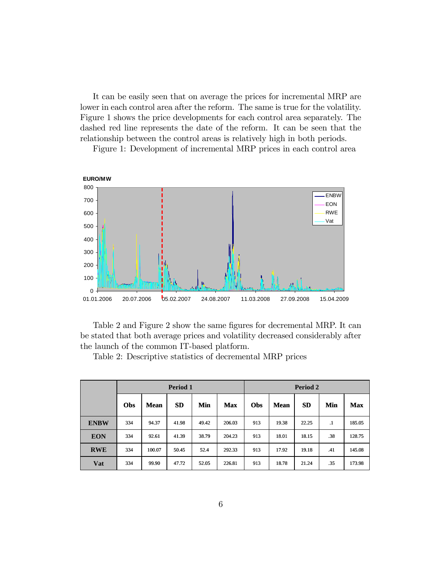It can be easily seen that on average the prices for incremental MRP are lower in each control area after the reform. The same is true for the volatility. Figure 1 shows the price developments for each control area separately. The dashed red line represents the date of the reform. It can be seen that the relationship between the control areas is relatively high in both periods.



Figure 1: Development of incremental MRP prices in each control area

Table 2 and Figure 2 show the same figures for decremental MRP. It can be stated that both average prices and volatility decreased considerably after the launch of the common IT-based platform.

**Vat** 334 99.90 47.72 52.05 226.81 913 18.78 21.24 35 173.98 **RWE** 334 100.07 50.45 52.4 292.33 913 17.92 19.18 .41 145.08 **EON** 334 92.61 41.39 38.79 204.23 913 18.01 18.15 38 128.75 **ENBW** 334 94.37 41.98 49.42 206.03 913 19.38 22.25 .1 185.05 **Obs Mean SD Min Max Obs Mean SD Min Max Period 1 Period 2**

Table 2: Descriptive statistics of decremental MRP prices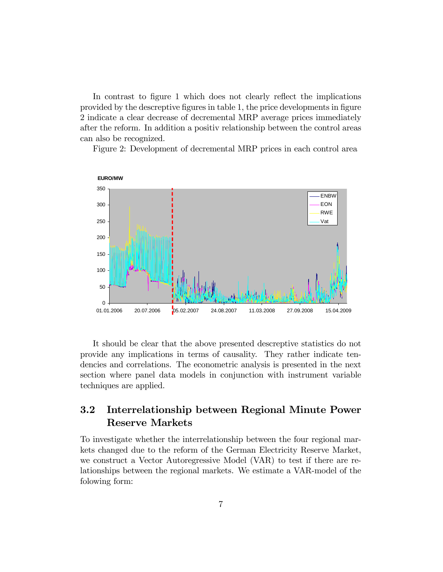In contrast to figure 1 which does not clearly reflect the implications provided by the descreptive figures in table 1, the price developments in figure 2 indicate a clear decrease of decremental MRP average prices immediately after the reform. In addition a positiv relationship between the control areas can also be recognized.

Figure 2: Development of decremental MRP prices in each control area



It should be clear that the above presented descreptive statistics do not provide any implications in terms of causality. They rather indicate tendencies and correlations. The econometric analysis is presented in the next section where panel data models in conjunction with instrument variable techniques are applied.

### 3.2 Interrelationship between Regional Minute Power Reserve Markets

To investigate whether the interrelationship between the four regional markets changed due to the reform of the German Electricity Reserve Market, we construct a Vector Autoregressive Model (VAR) to test if there are relationships between the regional markets. We estimate a VAR-model of the folowing form: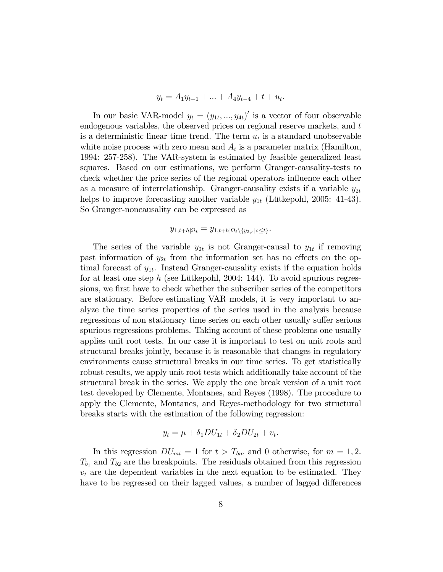$$
y_t = A_1 y_{t-1} + \ldots + A_4 y_{t-4} + t + u_t.
$$

In our basic VAR-model  $y_t = (y_{1t},..., y_{4t})'$  is a vector of four observable endogenous variables, the observed prices on regional reserve markets, and t is a deterministic linear time trend. The term  $u_t$  is a standard unobservable white noise process with zero mean and  $A_i$  is a parameter matrix (Hamilton, 1994: 257-258). The VAR-system is estimated by feasible generalized least squares. Based on our estimations, we perform Granger-causality-tests to check whether the price series of the regional operators influence each other as a measure of interrelationship. Granger-causality exists if a variable  $y_{2t}$ helps to improve forecasting another variable  $y_{1t}$  (Lütkepohl, 2005: 41-43). So Granger-noncausality can be expressed as

$$
y_{1,t+h|\Omega_t} = y_{1,t+h|\Omega_t \setminus \{y_{2,s}|s\leq t\}}.
$$

The series of the variable  $y_{2t}$  is not Granger-causal to  $y_{1t}$  if removing past information of  $y_{2t}$  from the information set has no effects on the optimal forecast of  $y_{1t}$ . Instead Granger-causality exists if the equation holds for at least one step h (see Lütkepohl, 2004: 144). To avoid spurious regressions, we first have to check whether the subscriber series of the competitors are stationary. Before estimating VAR models, it is very important to analyze the time series properties of the series used in the analysis because regressions of non stationary time series on each other usually suffer serious spurious regressions problems. Taking account of these problems one usually applies unit root tests. In our case it is important to test on unit roots and structural breaks jointly, because it is reasonable that changes in regulatory environments cause structural breaks in our time series. To get statistically robust results, we apply unit root tests which additionally take account of the structural break in the series. We apply the one break version of a unit root test developed by Clemente, Montanes, and Reyes (1998). The procedure to apply the Clemente, Montanes, and Reyes-methodology for two structural breaks starts with the estimation of the following regression:

$$
y_t = \mu + \delta_1 DU_{1t} + \delta_2 DU_{2t} + v_t.
$$

In this regression  $DU_{mt} = 1$  for  $t > T_{bm}$  and 0 otherwise, for  $m = 1, 2$ .  $T_{b_1}$  and  $T_{b_2}$  are the breakpoints. The residuals obtained from this regression  $v_t$  are the dependent variables in the next equation to be estimated. They have to be regressed on their lagged values, a number of lagged differences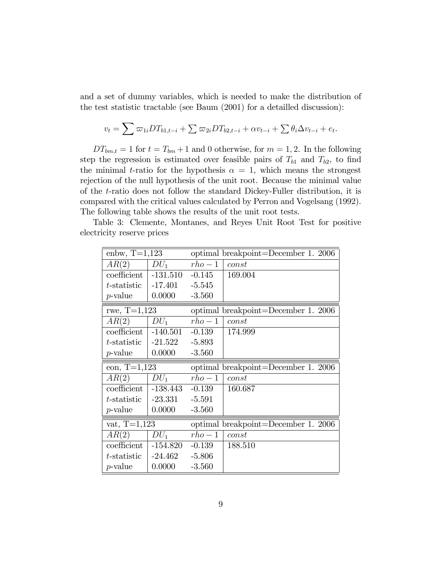and a set of dummy variables, which is needed to make the distribution of the test statistic tractable (see Baum (2001) for a detailled discussion):

$$
v_t = \sum \varpi_{1i} DT_{b1,t-i} + \sum \varpi_{2i} DT_{b2,t-i} + \alpha v_{t-i} + \sum \theta_i \Delta v_{t-i} + e_t.
$$

 $DT_{bm,t} = 1$  for  $t = T_{bm} + 1$  and 0 otherwise, for  $m = 1, 2$ . In the following step the regression is estimated over feasible pairs of  $T_{b1}$  and  $T_{b2}$ , to find the minimal t-ratio for the hypothesis  $\alpha = 1$ , which means the strongest rejection of the null hypothesis of the unit root. Because the minimal value of the t-ratio does not follow the standard Dickey-Fuller distribution, it is compared with the critical values calculated by Perron and Vogelsang (1992). The following table shows the results of the unit root tests.

Table 3: Clemente, Montanes, and Reyes Unit Root Test for positive electricity reserve prices

| enbw, $T=1,123$ |            |          | optimal breakpoint=December 1. 2006 |
|-----------------|------------|----------|-------------------------------------|
| AR(2)           | $DU_1$     | $rho-1$  | const                               |
| coefficient     | $-131.510$ | $-0.145$ | 169.004                             |
| $t$ -statistic  | $-17.401$  | $-5.545$ |                                     |
| <i>p</i> -value | 0.0000     | $-3.560$ |                                     |
| rwe, $T=1,123$  |            |          | optimal breakpoint=December 1. 2006 |
| AR(2)           | $DU_1$     | $rho-1$  | const                               |
| coefficient     | $-140.501$ | $-0.139$ | 174.999                             |
| t-statistic     | $-21.522$  | $-5.893$ |                                     |
| $p$ -value      | 0.0000     | $-3.560$ |                                     |
|                 |            |          |                                     |
| eon, $T=1,123$  |            |          | optimal breakpoint=December 1. 2006 |
| AR(2)           | $DU_1$     | $rho-1$  | const                               |
| coefficient     | -138.443   | $-0.139$ | 160.687                             |
| t-statistic     | $-23.331$  | $-5.591$ |                                     |
| $p$ -value      | 0.0000     | $-3.560$ |                                     |
| vat, $T=1,123$  |            |          | optimal breakpoint=December 1. 2006 |
| AR(2)           | $DU_1$     | $rho-1$  | const                               |
| coefficient     | $-154.820$ | $-0.139$ | 188.510                             |
| t-statistic     | -24.462    | $-5.806$ |                                     |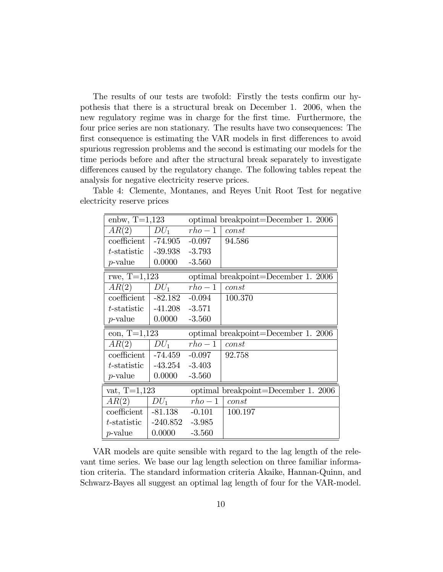The results of our tests are twofold: Firstly the tests confirm our hypothesis that there is a structural break on December 1. 2006, when the new regulatory regime was in charge for the first time. Furthermore, the four price series are non stationary. The results have two consequences: The first consequence is estimating the VAR models in first differences to avoid spurious regression problems and the second is estimating our models for the time periods before and after the structural break separately to investigate differences caused by the regulatory change. The following tables repeat the analysis for negative electricity reserve prices.

| enbw, $T=1,123$ |                    |          | optimal breakpoint=December 1. 2006 |
|-----------------|--------------------|----------|-------------------------------------|
| AR(2)           | $DU_1$             | $rho-1$  | const                               |
| coefficient     | $-74.905$ $-0.097$ |          | 94.586                              |
| $t$ -statistic  | $-39.938$          | $-3.793$ |                                     |
| $p$ -value      | 0.0000             | $-3.560$ |                                     |
| rwe, $T=1,123$  |                    |          | optimal breakpoint=December 1. 2006 |
| AR(2)           | $DU_1$             | $rho-1$  | const                               |
| coefficient     | $-82.182$          | $-0.094$ | 100.370                             |
| $t$ -statistic  | $-41.208$          | $-3.571$ |                                     |
| $p$ -value      | 0.0000             | $-3.560$ |                                     |
|                 |                    |          |                                     |
| eon, $T=1,123$  |                    |          | optimal breakpoint=December 1. 2006 |
| AR(2)           | $DU_1$             | $rho-1$  | const                               |
| coefficient     | -74.459            | $-0.097$ | 92.758                              |
| $t$ -statistic  | $-43.254$          | $-3.403$ |                                     |
| $p$ -value      | 0.0000             | $-3.560$ |                                     |
| $vat, T=1,123$  |                    |          | optimal breakpoint=December 1. 2006 |
| AR(2)           | $DU_1$             | $rho-1$  | const                               |
| coefficient     | $-81.138$          | $-0.101$ | 100.197                             |
| $t$ -statistic  | $-240.852$         | $-3.985$ |                                     |

Table 4: Clemente, Montanes, and Reyes Unit Root Test for negative electricity reserve prices

VAR models are quite sensible with regard to the lag length of the relevant time series. We base our lag length selection on three familiar information criteria. The standard information criteria Akaike, Hannan-Quinn, and Schwarz-Bayes all suggest an optimal lag length of four for the VAR-model.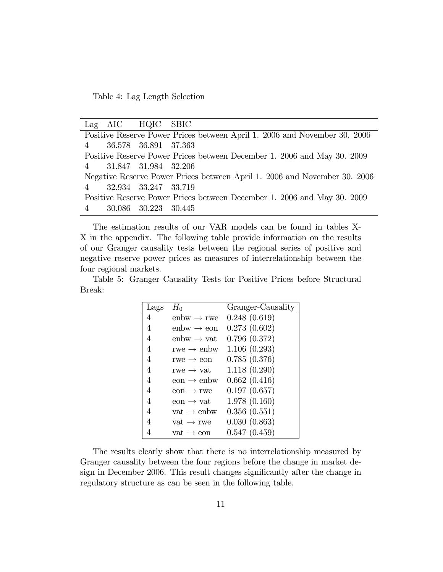Table 4: Lag Length Selection

| Lag AIC HQIC SBIC      |                                                                           |
|------------------------|---------------------------------------------------------------------------|
|                        | Positive Reserve Power Prices between April 1. 2006 and November 30. 2006 |
| 4 36.578 36.891 37.363 |                                                                           |
|                        | Positive Reserve Power Prices between December 1. 2006 and May 30. 2009   |
| 4 31.847 31.984 32.206 |                                                                           |
|                        | Negative Reserve Power Prices between April 1. 2006 and November 30. 2006 |
| 4 32.934 33.247 33.719 |                                                                           |
|                        | Positive Reserve Power Prices between December 1. 2006 and May 30. 2009   |
| 4 30.086 30.223 30.445 |                                                                           |

The estimation results of our VAR models can be found in tables X-X in the appendix. The following table provide information on the results of our Granger causality tests between the regional series of positive and negative reserve power prices as measures of interrelationship between the four regional markets.

Table 5: Granger Causality Tests for Positive Prices before Structural Break:

| Lags | $H_0$                     | Granger-Causality |
|------|---------------------------|-------------------|
| 4    | $enbw \rightarrow rwe$    | 0.248(0.619)      |
| 4    | $enbw \rightarrow eon$    | 0.273(0.602)      |
| 4    | $enbw \rightarrow vat$    | 0.796(0.372)      |
| 4    | rwe $\rightarrow$ enbw    | 1.106(0.293)      |
| 4    | rwe $\rightarrow$ eon     | 0.785(0.376)      |
| 4    | rwe $\rightarrow$ vat     | 1.118(0.290)      |
| 4    | $e$ on $\rightarrow$ enbw | 0.662(0.416)      |
| 4    | $e$ on $\rightarrow$ rwe  | 0.197(0.657)      |
| 4    | $e$ on $\rightarrow$ vat  | 1.978(0.160)      |
| 4    | vat $\rightarrow$ enbw    | 0.356(0.551)      |
| 4    | vat $\rightarrow$ rwe     | 0.030(0.863)      |
| 4    | $vat \rightarrow eon$     | 0.547(0.459)      |

The results clearly show that there is no interrelationship measured by Granger causality between the four regions before the change in market design in December 2006. This result changes significantly after the change in regulatory structure as can be seen in the following table.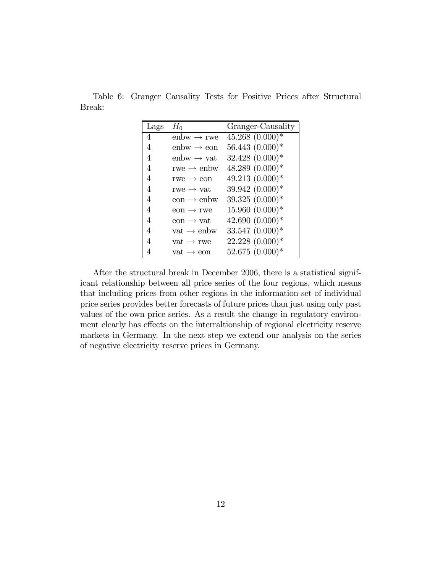Table 6: Granger Causality Tests for Positive Prices after Structural Break:

| Lags | $H_0$                     | Granger-Causality  |
|------|---------------------------|--------------------|
| 4    | enbw $\rightarrow$ rwe    | $45.268~(0.000)*$  |
| 4    | $enbw \rightarrow eon$    | $56.443~(0.000)*$  |
| 4    | enbw $\rightarrow$ vat    | $32.428~(0.000)*$  |
| 4    | rwe $\rightarrow$ enbw    | $48.289(0.000)*$   |
| 4    | $rwe \rightarrow eon$     | $49.213(0.000)*$   |
| 4    | rwe $\rightarrow$ vat     | 39.942 (0.000)*    |
| 4    | $e$ on $\rightarrow$ enbw | $39.325(0.000)*$   |
| 4    | $e$ on $\rightarrow$ rwe  | $15.960(0.000)*$   |
| 4    | eon $\rightarrow$ vat     | $42.690(0.000)*$   |
| 4    | vat $\rightarrow$ enbw    | $33.547 (0.000)^*$ |
| 4    | vat $\rightarrow$ rwe     | $22.228(0.000)*$   |
| 4    | $vat \rightarrow eon$     | 52.675 (0.000)*    |

After the structural break in December 2006, there is a statistical significant relationship between all price series of the four regions, which means that including prices from other regions in the information set of individual price series provides better forecasts of future prices than just using only past values of the own price series. As a result the change in regulatory environment clearly has effects on the interraltionship of regional electricity reserve markets in Germany. In the next step we extend our analysis on the series of negative electricity reserve prices in Germany.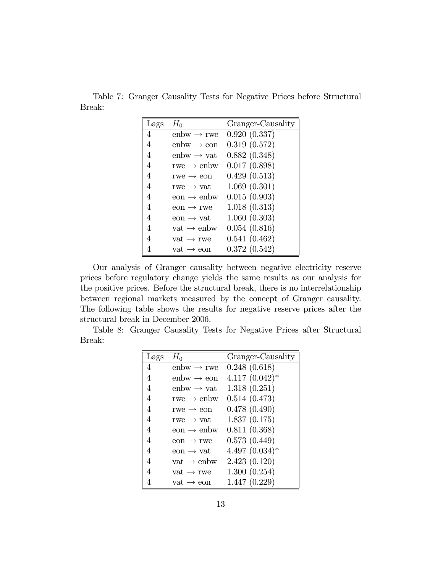Table 7: Granger Causality Tests for Negative Prices before Structural Break:

| Lags | $H_0$                               | Granger-Causality |
|------|-------------------------------------|-------------------|
| 4    | enbw $\rightarrow$ rwe              | 0.920(0.337)      |
| 4    | $enbw \rightarrow eon$              | 0.319(0.572)      |
| 4    | $enbw \rightarrow vat$              | 0.882(0.348)      |
| 4    | rwe $\rightarrow$ enbw              | 0.017(0.898)      |
| 4    | $rwe \rightarrow eon$               | 0.429(0.513)      |
| 4    | $\text{rwe} \rightarrow \text{vat}$ | 1.069(0.301)      |
| 4    | $e$ on $\rightarrow$ enbw           | 0.015(0.903)      |
| 4    | $e$ on $\rightarrow$ rwe            | 1.018(0.313)      |
| 4    | eon $\rightarrow$ vat               | 1.060(0.303)      |
| 4    | vat $\rightarrow$ enbw              | 0.054(0.816)      |
| 4    | vat $\rightarrow$ rwe               | 0.541(0.462)      |
| 4    | $vat \rightarrow eon$               | 0.372(0.542)      |

Our analysis of Granger causality between negative electricity reserve prices before regulatory change yields the same results as our analysis for the positive prices. Before the structural break, there is no interrelationship between regional markets measured by the concept of Granger causality. The following table shows the results for negative reserve prices after the structural break in December 2006.

Table 8: Granger Causality Tests for Negative Prices after Structural Break:

| Lags | $H_0$                                | Granger-Causality |
|------|--------------------------------------|-------------------|
| 4    | $enbw \rightarrow rwe$               | 0.248(0.618)      |
| 4    | $enbw \rightarrow eon$               | $4.117(0.042)^*$  |
| 4    | $enbw \rightarrow vat$               | 1.318(0.251)      |
| 4    | rwe $\rightarrow$ enbw               | 0.514(0.473)      |
| 4    | $rwe \rightarrow eon$                | 0.478(0.490)      |
| 4    | rwe $\rightarrow$ vat                | 1.837(0.175)      |
| 4    | $\text{eon} \rightarrow \text{enbw}$ | 0.811(0.368)      |
| 4    | $e$ on $\rightarrow$ rwe             | 0.573(0.449)      |
| 4    | $e$ on $\rightarrow$ vat             | $4.497~(0.034)*$  |
| 4    | vat $\rightarrow$ enbw               | 2.423(0.120)      |
| 4    | vat $\rightarrow$ rwe                | 1.300(0.254)      |
| 4    | $vat \rightarrow eon$                | 1.447(0.229)      |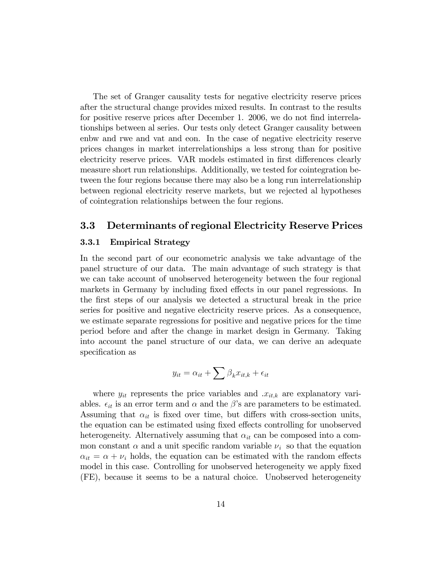The set of Granger causality tests for negative electricity reserve prices after the structural change provides mixed results. In contrast to the results for positive reserve prices after December 1. 2006, we do not find interrelationships between al series. Our tests only detect Granger causality between enbw and rwe and vat and eon. In the case of negative electricity reserve prices changes in market interrelationships a less strong than for positive electricity reserve prices. VAR models estimated in first differences clearly measure short run relationships. Additionally, we tested for cointegration between the four regions because there may also be a long run interrelationship between regional electricity reserve markets, but we rejected al hypotheses of cointegration relationships between the four regions.

#### 3.3 Determinants of regional Electricity Reserve Prices

#### 3.3.1 Empirical Strategy

In the second part of our econometric analysis we take advantage of the panel structure of our data. The main advantage of such strategy is that we can take account of unobserved heterogeneity between the four regional markets in Germany by including fixed effects in our panel regressions. In the Örst steps of our analysis we detected a structural break in the price series for positive and negative electricity reserve prices. As a consequence, we estimate separate regressions for positive and negative prices for the time period before and after the change in market design in Germany. Taking into account the panel structure of our data, we can derive an adequate specification as

$$
y_{it} = \alpha_{it} + \sum \beta_k x_{it,k} + \epsilon_{it}
$$

where  $y_{it}$  represents the price variables and  $x_{it,k}$  are explanatory variables.  $\epsilon_{it}$  is an error term and  $\alpha$  and the  $\beta$ 's are parameters to be estimated. Assuming that  $\alpha_{it}$  is fixed over time, but differs with cross-section units, the equation can be estimated using fixed effects controlling for unobserved heterogeneity. Alternatively assuming that  $\alpha_{it}$  can be composed into a common constant  $\alpha$  and a unit specific random variable  $\nu_i$  so that the equation  $\alpha_{it} = \alpha + \nu_i$  holds, the equation can be estimated with the random effects model in this case. Controlling for unobserved heterogeneity we apply fixed (FE), because it seems to be a natural choice. Unobserved heterogeneity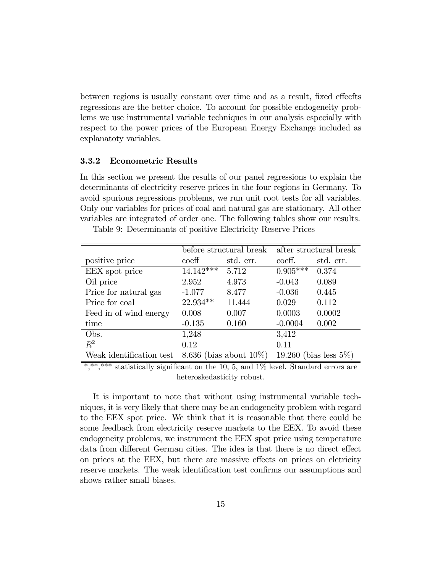between regions is usually constant over time and as a result, fixed effects regressions are the better choice. To account for possible endogeneity problems we use instrumental variable techniques in our analysis especially with respect to the power prices of the European Energy Exchange included as explanatoty variables.

#### 3.3.2 Econometric Results

In this section we present the results of our panel regressions to explain the determinants of electricity reserve prices in the four regions in Germany. To avoid spurious regressions problems, we run unit root tests for all variables. Only our variables for prices of coal and natural gas are stationary. All other variables are integrated of order one. The following tables show our results.

|                          |                            | before structural break | after structural break    |           |  |
|--------------------------|----------------------------|-------------------------|---------------------------|-----------|--|
| positive price           | $\mathrm{coeff}$           | std. err.               | coeff.                    | std. err. |  |
| EEX spot price           | $14.142***$                | 5.712                   | $0.905***$                | 0.374     |  |
| Oil price                | 2.952                      | 4.973                   | $-0.043$                  | 0.089     |  |
| Price for natural gas    | $-1.077$                   | 8.477                   | $-0.036$                  | 0.445     |  |
| Price for coal           | 22.934**                   | 11.444                  | 0.029                     | 0.112     |  |
| Feed in of wind energy   | 0.008                      | 0.007                   | 0.0003                    | 0.0002    |  |
| time                     | $-0.135$                   | 0.160                   | $-0.0004$                 | 0.002     |  |
| Obs.                     | 1,248                      |                         | 3,412                     |           |  |
| $R^2$                    | 0.12                       |                         | 0.11                      |           |  |
| Weak identification test | 8.636 (bias about $10\%$ ) |                         | 19.260 (bias less $5\%$ ) |           |  |

Table 9: Determinants of positive Electricity Reserve Prices

statistically significant on the 10, 5, and  $1\%$  level. Standard errors are heteroskedasticity robust.

It is important to note that without using instrumental variable techniques, it is very likely that there may be an endogeneity problem with regard to the EEX spot price. We think that it is reasonable that there could be some feedback from electricity reserve markets to the EEX. To avoid these endogeneity problems, we instrument the EEX spot price using temperature data from different German cities. The idea is that there is no direct effect on prices at the EEX, but there are massive effects on prices on eletricity reserve markets. The weak identification test confirms our assumptions and shows rather small biases.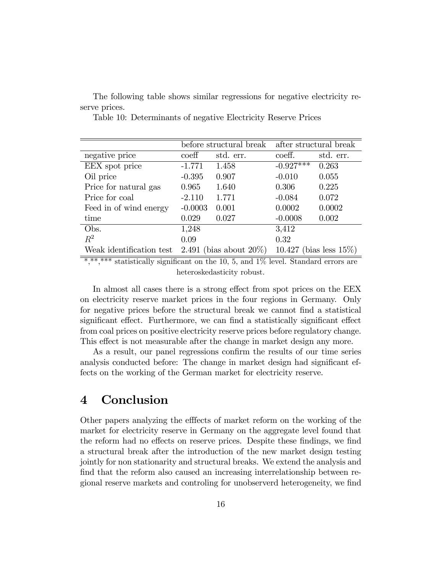The following table shows similar regressions for negative electricity reserve prices.

|                          |                            | before structural break | after structural break     |           |
|--------------------------|----------------------------|-------------------------|----------------------------|-----------|
| negative price           | $\mathrm{coeff}$           | std. err.               | coeff.                     | std. err. |
| EEX spot price           | $-1.771$                   | 1.458                   | $-0.927***$                | 0.263     |
| Oil price                | $-0.395$                   | 0.907                   | $-0.010$                   | 0.055     |
| Price for natural gas    | 0.965                      | 1.640                   | 0.306                      | 0.225     |
| Price for coal           | $-2.110$                   | 1.771                   | $-0.084$                   | 0.072     |
| Feed in of wind energy   | $-0.0003$                  | 0.001                   | 0.0002                     | 0.0002    |
| time                     | 0.029                      | 0.027                   | $-0.0008$                  | 0.002     |
| Obs.                     | 1,248                      |                         | 3,412                      |           |
| $R^2$                    | 0.09                       |                         | 0.32                       |           |
| Weak identification test | 2.491 (bias about $20\%$ ) |                         | 10.427 (bias less $15\%$ ) |           |

Table 10: Determinants of negative Electricity Reserve Prices

 $*,***$  statistically significant on the 10, 5, and 1% level. Standard errors are heteroskedasticity robust.

In almost all cases there is a strong effect from spot prices on the EEX on electricity reserve market prices in the four regions in Germany. Only for negative prices before the structural break we cannot find a statistical significant effect. Furthermore, we can find a statistically significant effect from coal prices on positive electricity reserve prices before regulatory change. This effect is not measurable after the change in market design any more.

As a result, our panel regressions confirm the results of our time series analysis conducted before: The change in market design had significant effects on the working of the German market for electricity reserve.

## 4 Conclusion

Other papers analyzing the effects of market reform on the working of the market for electricity reserve in Germany on the aggregate level found that the reform had no effects on reserve prices. Despite these findings, we find a structural break after the introduction of the new market design testing jointly for non stationarity and structural breaks. We extend the analysis and find that the reform also caused an increasing interrelationship between regional reserve markets and controling for unobserverd heterogeneity, we find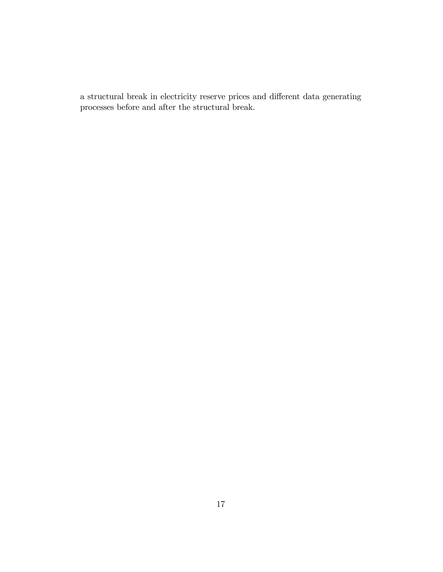a structural break in electricity reserve prices and different data generating processes before and after the structural break.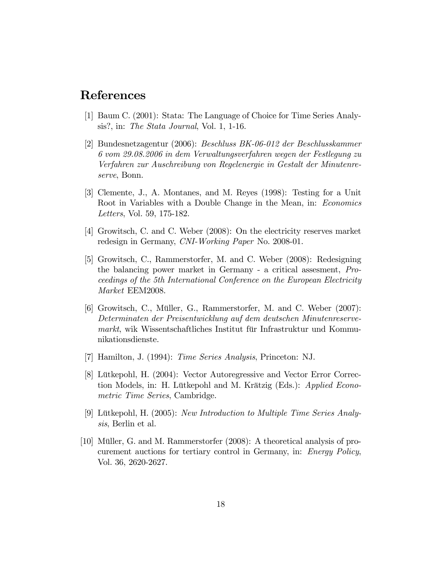### References

- [1] Baum C. (2001): Stata: The Language of Choice for Time Series Analysis?, in: The Stata Journal, Vol. 1, 1-16.
- [2] Bundesnetzagentur (2006): Beschluss BK-06-012 der Beschlusskammer 6 vom 29.08.2006 in dem Verwaltungsverfahren wegen der Festlegung zu Verfahren zur Auschreibung von Regelenergie in Gestalt der Minutenreserve, Bonn.
- [3] Clemente, J., A. Montanes, and M. Reyes (1998): Testing for a Unit Root in Variables with a Double Change in the Mean, in: Economics Letters, Vol. 59, 175-182.
- [4] Growitsch, C. and C. Weber (2008): On the electricity reserves market redesign in Germany, CNI-Working Paper No. 2008-01.
- [5] Growitsch, C., Rammerstorfer, M. and C. Weber (2008): Redesigning the balancing power market in Germany - a critical assesment, Proceedings of the 5th International Conference on the European Electricity Market EEM2008.
- [6] Growitsch, C., Müller, G., Rammerstorfer, M. and C. Weber (2007): Determinaten der Preisentwicklung auf dem deutschen Minutenreservemarkt, wik Wissentschaftliches Institut für Infrastruktur und Kommunikationsdienste.
- [7] Hamilton, J. (1994): Time Series Analysis, Princeton: NJ.
- [8] Lütkepohl, H. (2004): Vector Autoregressive and Vector Error Correction Models, in: H. Lütkepohl and M. Krätzig (Eds.): Applied Econometric Time Series, Cambridge.
- [9] Lütkepohl, H. (2005): New Introduction to Multiple Time Series Analysis, Berlin et al.
- [10] Müller, G. and M. Rammerstorfer  $(2008)$ : A theoretical analysis of procurement auctions for tertiary control in Germany, in: Energy Policy, Vol. 36, 2620-2627.